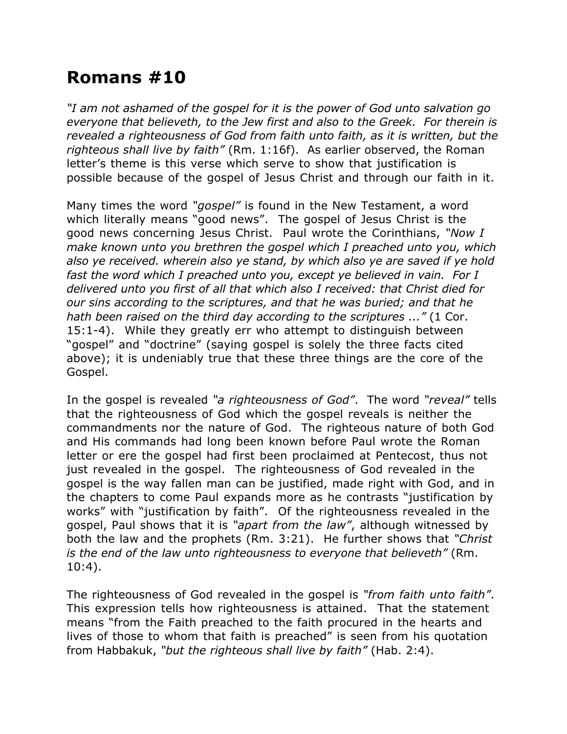## **Romans #10**

*"I am not ashamed of the gospel for it is the power of God unto salvation go everyone that believeth, to the Jew first and also to the Greek. For therein is revealed a righteousness of God from faith unto faith, as it is written, but the righteous shall live by faith"* (Rm. 1:16f). As earlier observed, the Roman letter's theme is this verse which serve to show that justification is possible because of the gospel of Jesus Christ and through our faith in it.

Many times the word *"gospel"* is found in the New Testament, a word which literally means "good news". The gospel of Jesus Christ is the good news concerning Jesus Christ. Paul wrote the Corinthians, *"Now I make known unto you brethren the gospel which I preached unto you, which also ye received. wherein also ye stand, by which also ye are saved if ye hold fast the word which I preached unto you, except ye believed in vain. For I delivered unto you first of all that which also I received: that Christ died for our sins according to the scriptures, and that he was buried; and that he hath been raised on the third day according to the scriptures ..."* (1 Cor. 15:1-4). While they greatly err who attempt to distinguish between "gospel" and "doctrine" (saying gospel is solely the three facts cited above); it is undeniably true that these three things are the core of the Gospel.

In the gospel is revealed *"a righteousness of God"*. The word *"reveal"* tells that the righteousness of God which the gospel reveals is neither the commandments nor the nature of God. The righteous nature of both God and His commands had long been known before Paul wrote the Roman letter or ere the gospel had first been proclaimed at Pentecost, thus not just revealed in the gospel. The righteousness of God revealed in the gospel is the way fallen man can be justified, made right with God, and in the chapters to come Paul expands more as he contrasts "justification by works" with "justification by faith". Of the righteousness revealed in the gospel, Paul shows that it is *"apart from the law"*, although witnessed by both the law and the prophets (Rm. 3:21). He further shows that *"Christ is the end of the law unto righteousness to everyone that believeth"* (Rm. 10:4).

The righteousness of God revealed in the gospel is *"from faith unto faith"*. This expression tells how righteousness is attained. That the statement means "from the Faith preached to the faith procured in the hearts and lives of those to whom that faith is preached" is seen from his quotation from Habbakuk, *"but the righteous shall live by faith"* (Hab. 2:4).